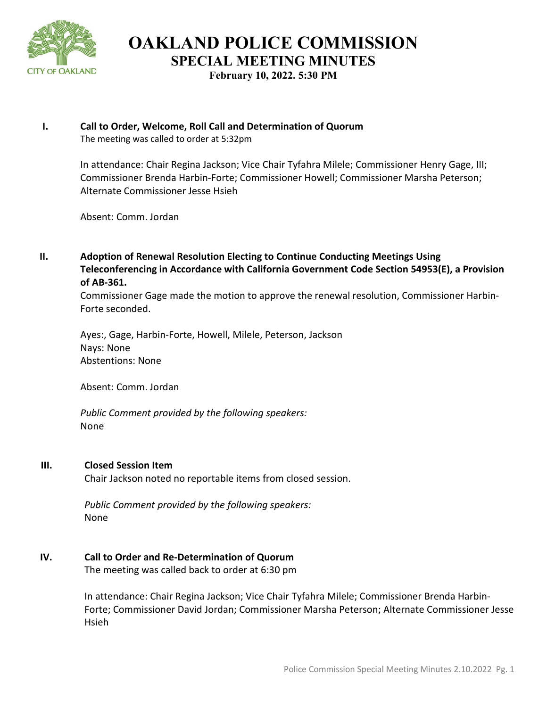

**OAKLAND POLICE COMMISSION SPECIAL MEETING MINUTES**

**February 10, 2022. 5:30 PM**

#### **I. Call to Order, Welcome, Roll Call and Determination of Quorum** The meeting was called to order at 5:32pm

In attendance: Chair Regina Jackson; Vice Chair Tyfahra Milele; Commissioner Henry Gage, III; Commissioner Brenda Harbin-Forte; Commissioner Howell; Commissioner Marsha Peterson; Alternate Commissioner Jesse Hsieh

Absent: Comm. Jordan

**II. Adoption of Renewal Resolution Electing to Continue Conducting Meetings Using Teleconferencing in Accordance with California Government Code Section 54953(E), a Provision of AB-361.** 

Commissioner Gage made the motion to approve the renewal resolution, Commissioner Harbin-Forte seconded.

Ayes:, Gage, Harbin-Forte, Howell, Milele, Peterson, Jackson Nays: None Abstentions: None

Absent: Comm. Jordan

*Public Comment provided by the following speakers:*  None

### **III. Closed Session Item**

Chair Jackson noted no reportable items from closed session.

*Public Comment provided by the following speakers:*  None

## **IV. Call to Order and Re-Determination of Quorum**

The meeting was called back to order at 6:30 pm

In attendance: Chair Regina Jackson; Vice Chair Tyfahra Milele; Commissioner Brenda Harbin-Forte; Commissioner David Jordan; Commissioner Marsha Peterson; Alternate Commissioner Jesse Hsieh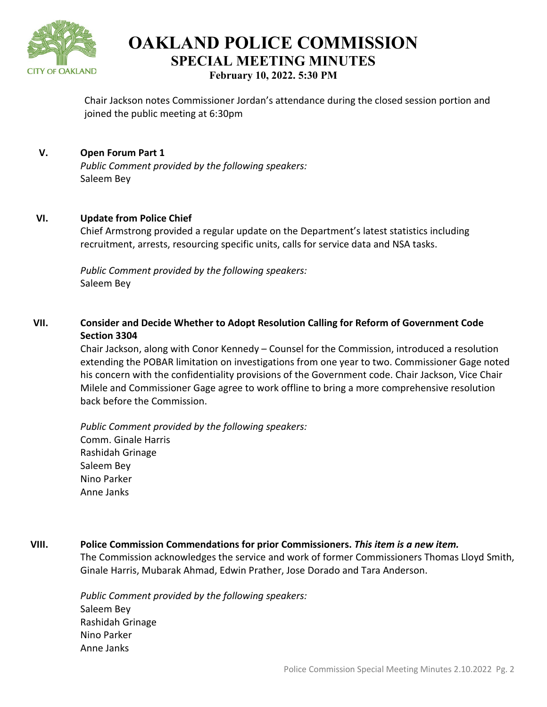

**OAKLAND POLICE COMMISSION SPECIAL MEETING MINUTES February 10, 2022. 5:30 PM**

Chair Jackson notes Commissioner Jordan's attendance during the closed session portion and joined the public meeting at 6:30pm

### **V. Open Forum Part 1**

*Public Comment provided by the following speakers:*  Saleem Bey

### **VI. Update from Police Chief**

Chief Armstrong provided a regular update on the Department's latest statistics including recruitment, arrests, resourcing specific units, calls for service data and NSA tasks.

*Public Comment provided by the following speakers:*  Saleem Bey

# **VII. Consider and Decide Whether to Adopt Resolution Calling for Reform of Government Code Section 3304**

Chair Jackson, along with Conor Kennedy – Counsel for the Commission, introduced a resolution extending the POBAR limitation on investigations from one year to two. Commissioner Gage noted his concern with the confidentiality provisions of the Government code. Chair Jackson, Vice Chair Milele and Commissioner Gage agree to work offline to bring a more comprehensive resolution back before the Commission.

*Public Comment provided by the following speakers:*  Comm. Ginale Harris Rashidah Grinage Saleem Bey Nino Parker Anne Janks

### **VIII. Police Commission Commendations for prior Commissioners.** *This item is a new item.*

The Commission acknowledges the service and work of former Commissioners Thomas Lloyd Smith, Ginale Harris, Mubarak Ahmad, Edwin Prather, Jose Dorado and Tara Anderson.

*Public Comment provided by the following speakers:*  Saleem Bey Rashidah Grinage Nino Parker Anne Janks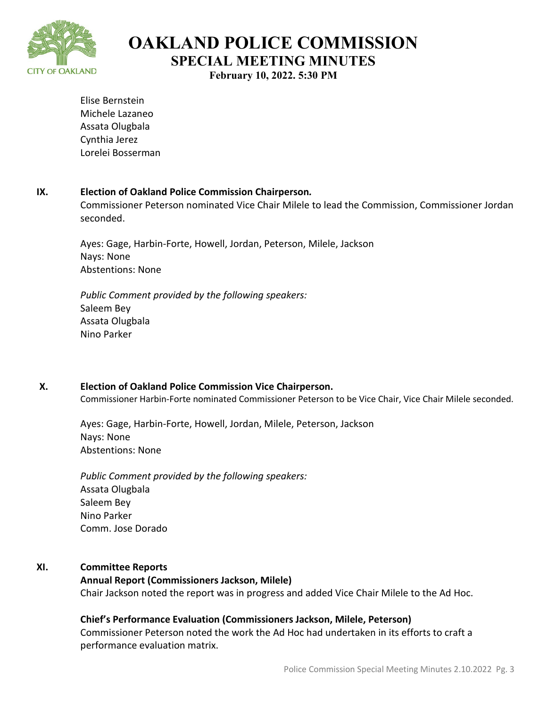

**OAKLAND POLICE COMMISSION SPECIAL MEETING MINUTES**

**February 10, 2022. 5:30 PM**

Elise Bernstein Michele Lazaneo Assata Olugbala Cynthia Jerez Lorelei Bosserman

### **IX. Election of Oakland Police Commission Chairperson***.*

Commissioner Peterson nominated Vice Chair Milele to lead the Commission, Commissioner Jordan seconded.

Ayes: Gage, Harbin-Forte, Howell, Jordan, Peterson, Milele, Jackson Nays: None Abstentions: None

*Public Comment provided by the following speakers:*  Saleem Bey Assata Olugbala Nino Parker

## **X. Election of Oakland Police Commission Vice Chairperson.**

Commissioner Harbin-Forte nominated Commissioner Peterson to be Vice Chair, Vice Chair Milele seconded.

Ayes: Gage, Harbin-Forte, Howell, Jordan, Milele, Peterson, Jackson Nays: None Abstentions: None

*Public Comment provided by the following speakers:*  Assata Olugbala Saleem Bey Nino Parker Comm. Jose Dorado

## **XI. Committee Reports**

### **Annual Report (Commissioners Jackson, Milele)**

Chair Jackson noted the report was in progress and added Vice Chair Milele to the Ad Hoc.

### **Chief's Performance Evaluation (Commissioners Jackson, Milele, Peterson)**

Commissioner Peterson noted the work the Ad Hoc had undertaken in its efforts to craft a performance evaluation matrix.